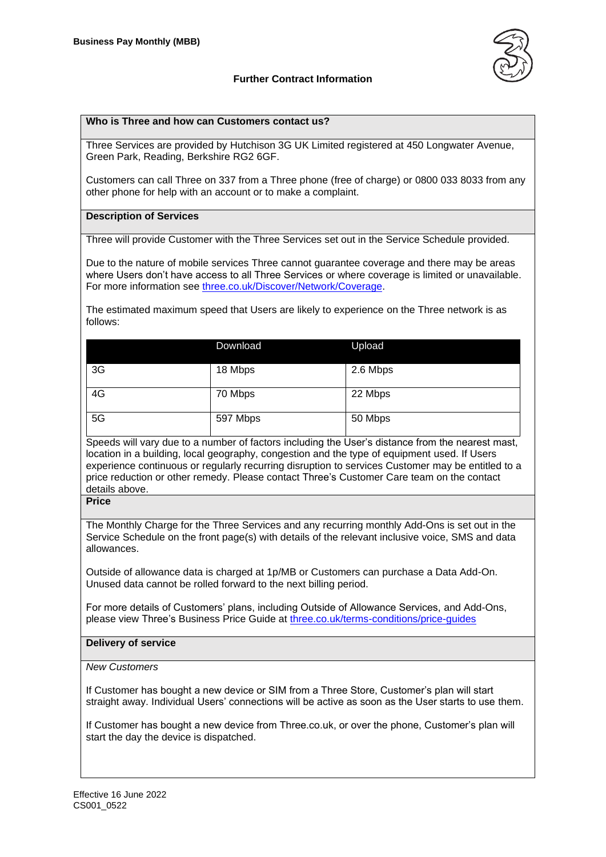



## **Who is Three and how can Customers contact us?**

Three Services are provided by Hutchison 3G UK Limited registered at 450 Longwater Avenue, Green Park, Reading, Berkshire RG2 6GF.

Customers can call Three on 337 from a Three phone (free of charge) or 0800 033 8033 from any other phone for help with an account or to make a complaint.

#### **Description of Services**

Three will provide Customer with the Three Services set out in the Service Schedule provided.

Due to the nature of mobile services Three cannot guarantee coverage and there may be areas where Users don't have access to all Three Services or where coverage is limited or unavailable. For more information see [three.co.uk/Discover/Network/Coverage.](http://www.three.co.uk/Discover/Network/Coverage)

The estimated maximum speed that Users are likely to experience on the Three network is as follows:

|    | Download | Upload   |
|----|----------|----------|
| 3G | 18 Mbps  | 2.6 Mbps |
| 4G | 70 Mbps  | 22 Mbps  |
| 5G | 597 Mbps | 50 Mbps  |

Speeds will vary due to a number of factors including the User's distance from the nearest mast, location in a building, local geography, congestion and the type of equipment used. If Users experience continuous or regularly recurring disruption to services Customer may be entitled to a price reduction or other remedy. Please contact Three's Customer Care team on the contact details above.

**Price**

The Monthly Charge for the Three Services and any recurring monthly Add-Ons is set out in the Service Schedule on the front page(s) with details of the relevant inclusive voice, SMS and data allowances.

Outside of allowance data is charged at 1p/MB or Customers can purchase a Data Add-On. Unused data cannot be rolled forward to the next billing period.

For more details of Customers' plans, including Outside of Allowance Services, and Add-Ons, please view Three's Business Price Guide at [three.co.uk/terms-conditions/price-guides](http://www.three.co.uk/terms-conditions/price-guides)

#### **Delivery of service**

### *New Customers*

If Customer has bought a new device or SIM from a Three Store, Customer's plan will start straight away. Individual Users' connections will be active as soon as the User starts to use them.

If Customer has bought a new device from Three.co.uk, or over the phone, Customer's plan will start the day the device is dispatched.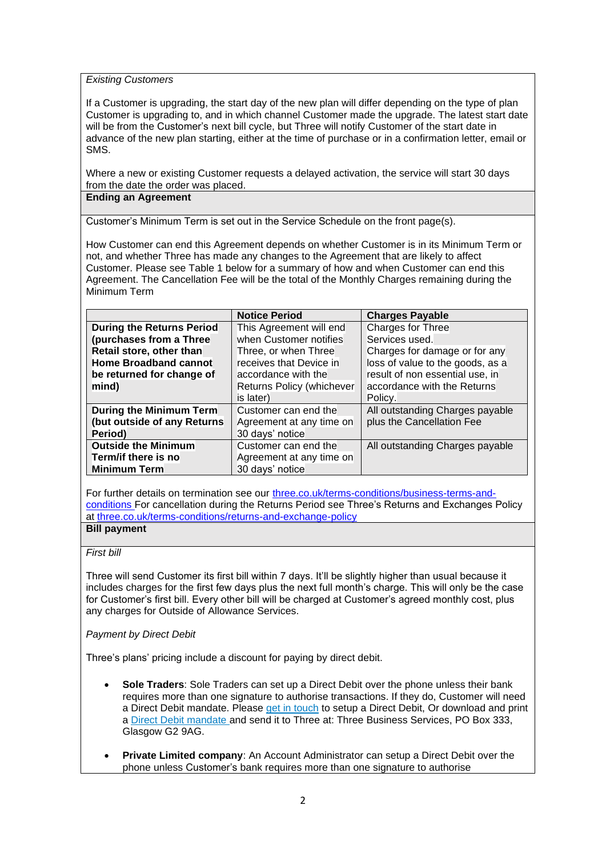#### *Existing Customers*

If a Customer is upgrading, the start day of the new plan will differ depending on the type of plan Customer is upgrading to, and in which channel Customer made the upgrade. The latest start date will be from the Customer's next bill cycle, but Three will notify Customer of the start date in advance of the new plan starting, either at the time of purchase or in a confirmation letter, email or SMS.

Where a new or existing Customer requests a delayed activation, the service will start 30 days from the date the order was placed.

#### **Ending an Agreement**

Customer's Minimum Term is set out in the Service Schedule on the front page(s).

How Customer can end this Agreement depends on whether Customer is in its Minimum Term or not, and whether Three has made any changes to the Agreement that are likely to affect Customer. Please see Table 1 below for a summary of how and when Customer can end this Agreement. The Cancellation Fee will be the total of the Monthly Charges remaining during the Minimum Term

|                                  | <b>Notice Period</b>      | <b>Charges Payable</b>           |
|----------------------------------|---------------------------|----------------------------------|
| <b>During the Returns Period</b> | This Agreement will end   | Charges for Three                |
| (purchases from a Three          | when Customer notifies    | Services used.                   |
| Retail store, other than         | Three, or when Three      | Charges for damage or for any    |
| <b>Home Broadband cannot</b>     | receives that Device in   | loss of value to the goods, as a |
| be returned for change of        | accordance with the       | result of non essential use, in  |
| mind)                            | Returns Policy (whichever | accordance with the Returns      |
|                                  | is later)                 | Policy.                          |
| During the Minimum Term          | Customer can end the      | All outstanding Charges payable  |
| (but outside of any Returns      | Agreement at any time on  | plus the Cancellation Fee        |
| Period)                          | 30 days' notice           |                                  |
| <b>Outside the Minimum</b>       | Customer can end the      | All outstanding Charges payable  |
| Term/if there is no              | Agreement at any time on  |                                  |
| <b>Minimum Term</b>              | 30 days' notice           |                                  |

For further details on termination see our [three.co.uk/terms-conditions/business-terms-and](http://www.three.co.uk/terms-conditions/business-terms-and-conditions)[conditions](http://www.three.co.uk/terms-conditions/business-terms-and-conditions) For cancellation during the Returns Period see Three's Returns and Exchanges Policy at [three.co.uk/terms-conditions/returns-and-exchange-policy](http://www.three.co.uk/terms-conditions/returns-and-exchange-policy)

# **Bill payment**

## *First bill*

Three will send Customer its first bill within 7 days. It'll be slightly higher than usual because it includes charges for the first few days plus the next full month's charge. This will only be the case for Customer's first bill. Every other bill will be charged at Customer's agreed monthly cost, plus any charges for Outside of Allowance Services.

#### *Payment by Direct Debit*

Three's plans' pricing include a discount for paying by direct debit.

- **Sole Traders**: Sole Traders can set up a Direct Debit over the phone unless their bank requires more than one signature to authorise transactions. If they do, Customer will need a Direct Debit mandate. Please [get in touch](http://www.three.co.uk/businesshelp) to setup a Direct Debit, Or download and print a [Direct Debit mandate](http://support.three.co.uk/mobiledocs/Support/General_help/Pdfs/direct_debit_form.pdf) and send it to Three at: Three Business Services, PO Box 333, Glasgow G2 9AG.
- **Private Limited company**: An Account Administrator can setup a Direct Debit over the phone unless Customer's bank requires more than one signature to authorise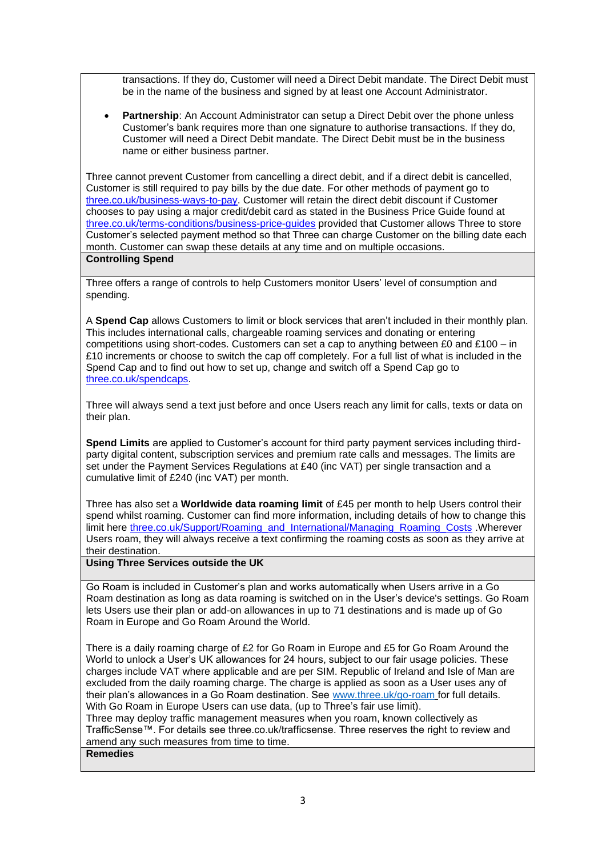transactions. If they do, Customer will need a Direct Debit mandate. The Direct Debit must be in the name of the business and signed by at least one Account Administrator.

**Partnership:** An Account Administrator can setup a Direct Debit over the phone unless Customer's bank requires more than one signature to authorise transactions. If they do, Customer will need a Direct Debit mandate. The Direct Debit must be in the business name or either business partner.

Three cannot prevent Customer from cancelling a direct debit, and if a direct debit is cancelled, Customer is still required to pay bills by the due date. For other methods of payment go to [three.co.uk/business-ways-to-pay.](http://support.three.co.uk/SRVS/CGI-BIN/WEBISAPI.dll/,/?New,Kb=Mobile,Ts=Mobile,T=CaseDoc,VARSET_BusinesshelpbckDisp=1,VARSET_CatID=2136,Case=obj(1997)) Customer will retain the direct debit discount if Customer chooses to pay using a major credit/debit card as stated in the Business Price Guide found at [three.co.uk/terms-conditions/business-price-guides](http://www.three.co.uk/terms-conditions/business-price-guides) provided that Customer allows Three to store Customer's selected payment method so that Three can charge Customer on the billing date each month. Customer can swap these details at any time and on multiple occasions. **Controlling Spend**

Three offers a range of controls to help Customers monitor Users' level of consumption and spending.

A **Spend Cap** allows Customers to limit or block services that aren't included in their monthly plan. This includes international calls, chargeable roaming services and donating or entering competitions using short-codes. Customers can set a cap to anything between £0 and £100 – in £10 increments or choose to switch the cap off completely. For a full list of what is included in the Spend Cap and to find out how to set up, change and switch off a Spend Cap go to [three.co.uk/spendcaps.](http://support.three.co.uk/SRVS/CGI-BIN/WEBISAPI.DLL?Command=New,Kb=Mobile,Ts=Mobile,T=Article,varset_cat=billing,varset_subcat=3770,Case=obj(31394))

Three will always send a text just before and once Users reach any limit for calls, texts or data on their plan.

**Spend Limits** are applied to Customer's account for third party payment services including thirdparty digital content, subscription services and premium rate calls and messages. The limits are set under the Payment Services Regulations at £40 (inc VAT) per single transaction and a cumulative limit of £240 (inc VAT) per month.

Three has also set a **Worldwide data roaming limit** of £45 per month to help Users control their spend whilst roaming. Customer can find more information, including details of how to change this limit here [three.co.uk/Support/Roaming\\_and\\_International/Managing\\_Roaming\\_Costs](https://www.three.co.uk/Support/Roaming_and_International/Managing_Roaming_Costs) .Wherever Users roam, they will always receive a text confirming the roaming costs as soon as they arrive at their destination.

## **Using Three Services outside the UK**

Go Roam is included in Customer's plan and works automatically when Users arrive in a Go Roam destination as long as data roaming is switched on in the User's device's settings. Go Roam lets Users use their plan or add-on allowances in up to 71 destinations and is made up of Go Roam in Europe and Go Roam Around the World.

There is a daily roaming charge of £2 for Go Roam in Europe and £5 for Go Roam Around the World to unlock a User's UK allowances for 24 hours, subject to our fair usage policies. These charges include VAT where applicable and are per SIM. Republic of Ireland and Isle of Man are excluded from the daily roaming charge. The charge is applied as soon as a User uses any of their plan's allowances in a Go Roam destination. See [www.three.uk/go-roam](http://www.three.uk/go-roam) for full details. With Go Roam in Europe Users can use data, (up to Three's fair use limit).

Three may deploy traffic management measures when you roam, known collectively as TrafficSense™. For details see three.co.uk/trafficsense. Three reserves the right to review and amend any such measures from time to time.

## **Remedies**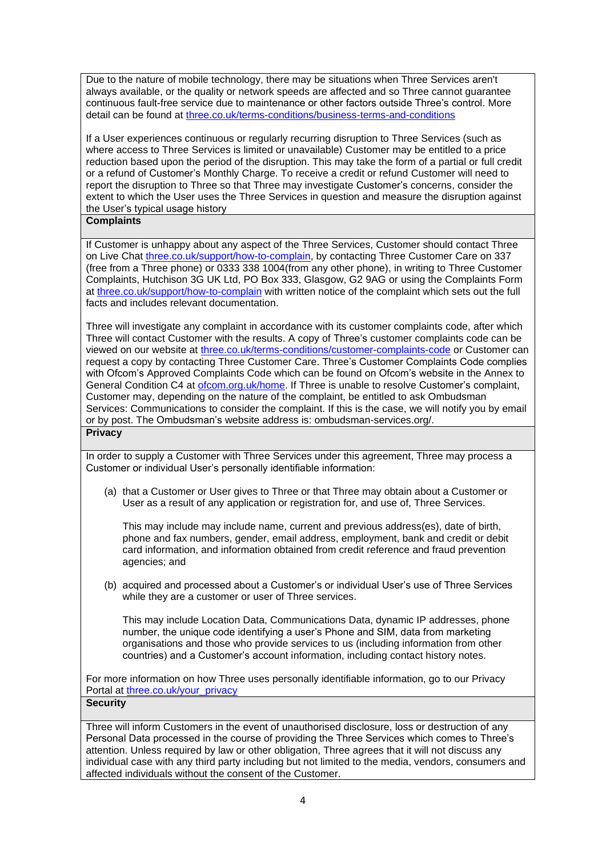Due to the nature of mobile technology, there may be situations when Three Services aren't always available, or the quality or network speeds are affected and so Three cannot guarantee continuous fault-free service due to maintenance or other factors outside Three's control. More detail can be found at [three.co.uk/terms-conditions/business-terms-and-conditions](http://www.three.co.uk/terms-conditions/business-terms-and-conditions)

If a User experiences continuous or regularly recurring disruption to Three Services (such as where access to Three Services is limited or unavailable) Customer may be entitled to a price reduction based upon the period of the disruption. This may take the form of a partial or full credit or a refund of Customer's Monthly Charge. To receive a credit or refund Customer will need to report the disruption to Three so that Three may investigate Customer's concerns, consider the extent to which the User uses the Three Services in question and measure the disruption against the User's typical usage history

## **Complaints**

If Customer is unhappy about any aspect of the Three Services, Customer should contact Three on Live Chat [three.co.uk/support/how-to-complain,](http://www.three.co.uk/support/how-to-complain) by contacting Three Customer Care on 337 (free from a Three phone) or 0333 338 1004(from any other phone), in writing to Three Customer Complaints, Hutchison 3G UK Ltd, PO Box 333, Glasgow, G2 9AG or using the Complaints Form at [three.co.uk/support/how-to-complain](http://www.three.co.uk/support/how-to-complain) with written notice of the complaint which sets out the full facts and includes relevant documentation.

Three will investigate any complaint in accordance with its customer complaints code, after which Three will contact Customer with the results. A copy of Three's customer complaints code can be viewed on our website at [three.co.uk/terms-conditions/customer-complaints-code](http://www.three.co.uk/terms-conditions/customer-complaints-code) or Customer can request a copy by contacting Three Customer Care. Three's Customer Complaints Code complies with Ofcom's Approved Complaints Code which can be found on Ofcom's website in the Annex to General Condition C4 at [ofcom.org.uk/home.](https://www.ofcom.org.uk/home) If Three is unable to resolve Customer's complaint, Customer may, depending on the nature of the complaint, be entitled to ask Ombudsman Services: Communications to consider the complaint. If this is the case, we will notify you by email or by post. The Ombudsman's website address is: [ombudsman-services.org/.](https://www.ombudsman-services.org/) **Privacy**

In order to supply a Customer with Three Services under this agreement, Three may process a Customer or individual User's personally identifiable information:

(a) that a Customer or User gives to Three or that Three may obtain about a Customer or User as a result of any application or registration for, and use of, Three Services.

This may include may include name, current and previous address(es), date of birth, phone and fax numbers, gender, email address, employment, bank and credit or debit card information, and information obtained from credit reference and fraud prevention agencies; and

(b) acquired and processed about a Customer's or individual User's use of Three Services while they are a customer or user of Three services.

This may include Location Data, Communications Data, dynamic IP addresses, phone number, the unique code identifying a user's Phone and SIM, data from marketing organisations and those who provide services to us (including information from other countries) and a Customer's account information, including contact history notes.

For more information on how Three uses personally identifiable information, go to our Privacy Portal at [three.co.uk/your\\_privacy](https://eur01.safelinks.protection.outlook.com/?url=http%3A%2F%2Fwww.three.co.uk%2Fyour_privacy&data=04%7C01%7CKate.Oleary%40three.co.uk%7C0dcc5c62d25049fd6c8c08d9fd59d343%7Ca095b75b77a24e28afc227edd1d6b0ab%7C1%7C0%7C637819384511047150%7CUnknown%7CTWFpbGZsb3d8eyJWIjoiMC4wLjAwMDAiLCJQIjoiV2luMzIiLCJBTiI6Ik1haWwiLCJXVCI6Mn0%3D%7C3000&sdata=ZvwWLVNAk30KZ1ZselaNG9piNG3wcCX1dRIm8%2FlnUqg%3D&reserved=0)

#### **Security**

Three will inform Customers in the event of unauthorised disclosure, loss or destruction of any Personal Data processed in the course of providing the Three Services which comes to Three's attention. Unless required by law or other obligation, Three agrees that it will not discuss any individual case with any third party including but not limited to the media, vendors, consumers and affected individuals without the consent of the Customer.